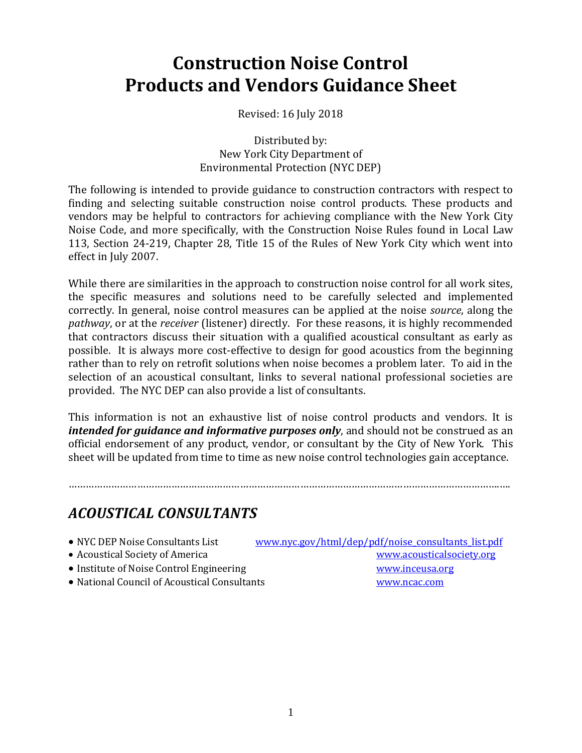# **Construction Noise Control Products and Vendors Guidance Sheet**

Revised: 16 July 2018

Distributed by: New York City Department of Environmental Protection (NYC DEP)

The following is intended to provide guidance to construction contractors with respect to finding and selecting suitable construction noise control products. These products and vendors may be helpful to contractors for achieving compliance with the New York City Noise Code, and more specifically, with the Construction Noise Rules found in Local Law 113, Section 24-219, Chapter 28, Title 15 of the Rules of New York City which went into effect in July 2007.

While there are similarities in the approach to construction noise control for all work sites, the specific measures and solutions need to be carefully selected and implemented correctly. In general, noise control measures can be applied at the noise *source*, along the *pathway*, or at the *receiver* (listener) directly. For these reasons, it is highly recommended that contractors discuss their situation with a qualified acoustical consultant as early as possible. It is always more cost-effective to design for good acoustics from the beginning rather than to rely on retrofit solutions when noise becomes a problem later. To aid in the selection of an acoustical consultant, links to several national professional societies are provided. The NYC DEP can also provide a list of consultants.

This information is not an exhaustive list of noise control products and vendors. It is *intended for guidance and informative purposes only*, and should not be construed as an official endorsement of any product, vendor, or consultant by the City of New York. This sheet will be updated from time to time as new noise control technologies gain acceptance.

…………………………………………………………………………………………………………………………………….….

# *ACOUSTICAL CONSULTANTS*

| • NYC DEP Noise Consultants List             | www.nyc.gov/html/dep/pdf/noise_consultants_list.pdf |
|----------------------------------------------|-----------------------------------------------------|
| • Acoustical Society of America              | www.acousticalsociety.org                           |
| • Institute of Noise Control Engineering     | www.inceusa.org                                     |
| • National Council of Acoustical Consultants | www.ncac.com                                        |
|                                              |                                                     |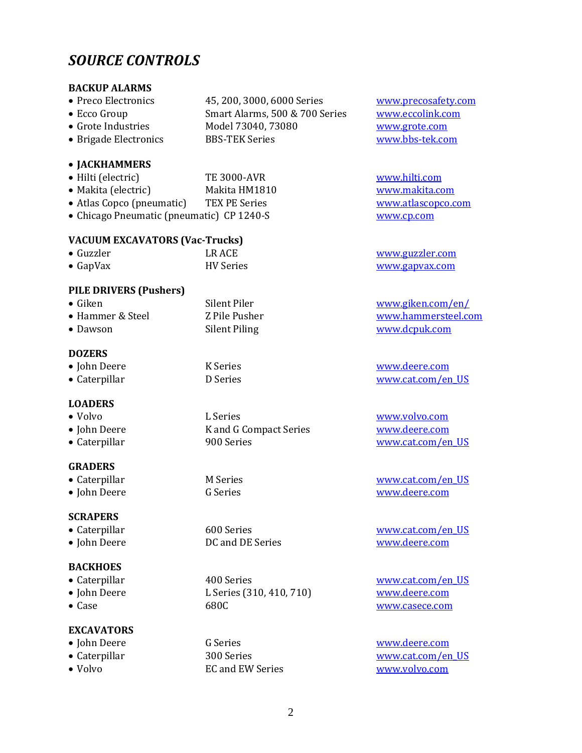### *SOURCE CONTROLS*

#### **BACKUP ALARMS**

- Preco Electronics 45, 200, 3000, 6000 Series [www.precosafety.com](http://www.precosafety.com/)
- 
- Grote Industries Model 73040, 73080 [www.grote.com](http://www.grote.com/)
- Brigade Electronics BBS-TEK Series [www.bbs-tek.com](http://www.bbs-tek.com/)

#### **JACKHAMMERS**

- Hilti (electric) TE 3000-AVR [www.hilti.com](http://www.hilti.com/) Makita (electric) Makita HM1810 [www.makita.com](http://www.makita.com/)
- Atlas Copco (pneumatic) TEX PE Series [www.atlascopco.com](http://www.atlascopco.com/)
- Chicago Pneumatic (pneumatic) CP 1240-S [www.cp.com](http://www.cp.com/)

#### **VACUUM EXCAVATORS (Vac-Trucks)**

 Guzzler LR ACE [www.guzzler.com](http://www.guzzler.com/) • GapVax **HV Series** HV Series [www.gapvax.com](http://www.gapvax.com/)

#### **PILE DRIVERS (Pushers)**

• Giken Silent Piler [www.giken.com/en/](http://www.giken.com/en/) • Hammer & Steel Z Pile Pusher [www.hammersteel.com](http://www.hammersteel.com/) • Dawson Silent Piling [www.dcpuk.com](http://www.dcpuk.com/)

#### **DOZERS**

John Deere K Series [www.deere.com](http://www.deere.com/)

#### **LOADERS**

 Volvo L Series [www.volvo.com](http://www.volvo.com/) • John Deere K and G Compact Series [www.deere.com](http://www.deere.com/)

#### **GRADERS**

- 
- 

#### **SCRAPERS**

- 
- 

#### **BACKHOES**

- 
- 
- 

#### **EXCAVATORS**

- 
- 
- 
- Caterpillar **900 Series WWW.cat.com/en\_US** 
	-

• Caterpillar **400 Series** [www.cat.com/en\\_US](http://www.cat.com/en_US) John Deere L Series (310, 410, 710) [www.deere.com](http://www.deere.com/) • Case 680C [www.casece.com](http://www.casece.com/)

Volvo EC and EW Series [www.volvo.com](http://www.volvo.com/)

• Ecco Group Smart Alarms, 500 & 700 Series [www.eccolink.com](http://www.eccolink.com/)

• Caterpillar **D** Series **WWW.cat.com/en\_US** 

• Caterpillar M Series M Notice M Notice 2012 M WWW.cat.com/en\_US John Deere G Series [www.deere.com](http://www.deere.com/)

 Caterpillar 600 Series [www.cat.com/en\\_US](http://www.cat.com/en_US) • John Deere **DC** and DE Series **[www.deere.com](http://www.deere.com/)** 

• John Deere G Series G Series [www.deere.com](http://www.deere.com/) • Caterpillar 300 Series [www.cat.com/en\\_US](http://www.cat.com/en_US)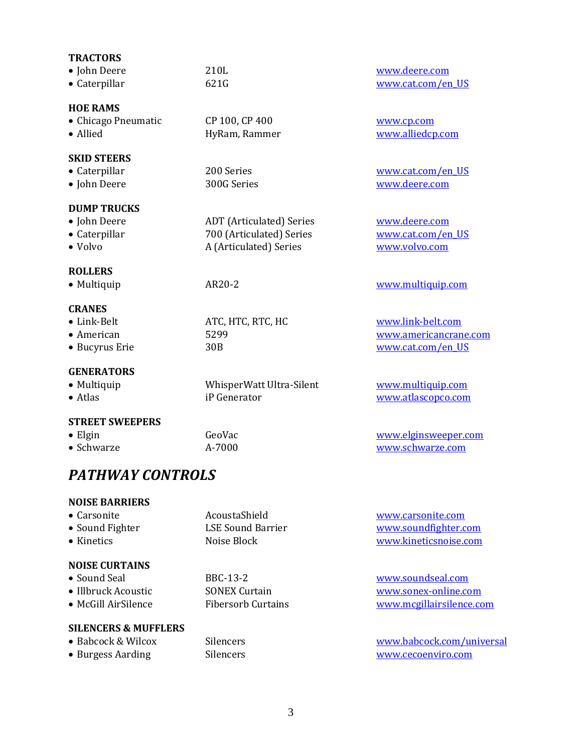| <b>TRACTORS</b><br>• John Deere<br>• Caterpillar               | 210L<br>621G                                                                          | www.deere.com<br>www.cat.com/en_US                              |
|----------------------------------------------------------------|---------------------------------------------------------------------------------------|-----------------------------------------------------------------|
| <b>HOE RAMS</b><br>• Chicago Pneumatic<br>• Allied             | CP 100, CP 400<br>HyRam, Rammer                                                       | www.cp.com<br>www.alliedcp.com                                  |
| <b>SKID STEERS</b><br>• Caterpillar<br>• John Deere            | 200 Series<br>300G Series                                                             | www.cat.com/en_US<br>www.deere.com                              |
| <b>DUMP TRUCKS</b><br>• John Deere<br>• Caterpillar<br>• Volvo | <b>ADT</b> (Articulated) Series<br>700 (Articulated) Series<br>A (Articulated) Series | www.deere.com<br>www.cat.com/en US<br>www.volvo.com             |
| <b>ROLLERS</b><br>• Multiquip                                  | AR20-2                                                                                | www.multiquip.com                                               |
| <b>CRANES</b><br>• Link-Belt<br>• American<br>• Bucyrus Erie   | ATC, HTC, RTC, HC<br>5299<br>30 <sub>B</sub>                                          | www.link-belt.com<br>www.americancrane.com<br>www.cat.com/en US |
| <b>GENERATORS</b><br>• Multiquip<br>• Atlas                    | WhisperWatt Ultra-Silent<br>iP Generator                                              | www.multiquip.com<br>www.atlascopco.com                         |
| <b>STREET SWEEPERS</b><br>$\bullet$ Elgin                      | GeoVac                                                                                | www.elginsweeper.com                                            |

• Schwarze **A-7000** A-7000 [www.schwarze.com](http://www.schwarze.com/)

## *PATHWAY CONTROLS*

#### **NOISE BARRIERS**

| $\bullet$ Carsonite | AcoustaShield     | www.carsonite.com     |
|---------------------|-------------------|-----------------------|
| • Sound Fighter     | LSE Sound Barrier | www.soundfighter.com  |
| $\bullet$ Kinetics  | Noise Block       | www.kineticsnoise.com |
|                     |                   |                       |

#### **NOISE CURTAINS**

- 
- 
- 

#### **SILENCERS & MUFFLERS**

- 
- 

• Sound Seal BBC-13-2 [www.soundseal.com](http://www.soundseal.com/) • Illbruck Acoustic SONEX Curtain [www.sonex-online.com](http://www.sonex-online.com/) • McGill AirSilence Fibersorb Curtains [www.mcgillairsilence.com](http://www.mcgillairsilence.com/)

• Babcock & Wilcox Silencers [www.babcock.com/universal](http://www.babcock.com/universal) • Burgess Aarding Silencers Silencers [www.cecoenviro.com](http://www.cecoenviro.com/)